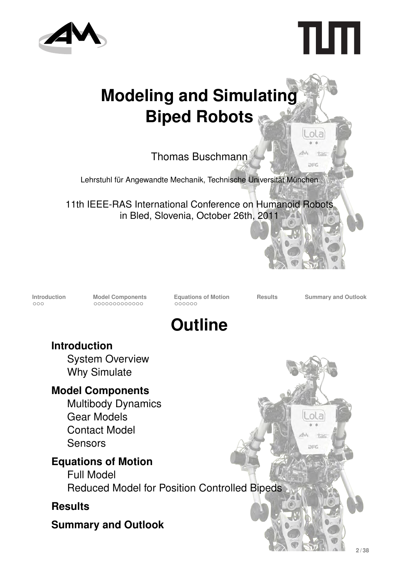



Lola

tas OFG

# **Modeling and Simulating Biped Robots**

Thomas Buschmann

Lehrstuhl für Angewandte Mechanik, Technische Universität München

11th IEEE-RAS International Conference on Humanoid Robots in Bled, Slovenia, October 26th, 2011

**Introduction**<br> **Introduction**<br> **Model Components**<br> **Equations** of Motion<br> **Results**<br> **Results**<br> **Summary and Outlook**<br> **EQUADED**<br> **EQUADED**<br> **EQUADED**<br> **EQUADED**<br> **EQUADED** 

ol a

 $+ - i$ **DEC** 



**Introduction**

System Overview Why Simulate

#### **Model Components**

Multibody Dynamics Gear Models Contact Model **Sensors** 

#### **Equations of Motion**

Full Model Reduced Model for Position Controlled Bipeds

#### **Results**

**Summary and Outlook**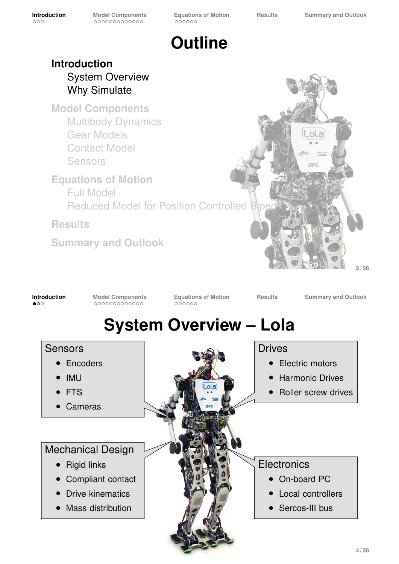

#### **Introduction** System Overview Why Simulate

**Model Components** Multibody Dynamics Gear Models Contact Model **Sensors** 

**Equations of Motion** Full Model Reduced Model for Position Controlled Biped

**Results**

**Summary and Outlook**



**Introduction Model Components Equations of Motion Results Summary and Outlook System Overview – Lola** Sensors ∙ Encoders ∙ IMU ∙ FTS ∙ Cameras Drives ∙ Electric motors ∙ Harmonic Drives ∙ Roller screw drives Mechanical Design ∙ Rigid links ∙ Compliant contact ∙ Drive kinematics ∙ Mass distribution **Electronics** ∙ On-board PC ∙ Local controllers ∙ Sercos-III bus **4 / 38**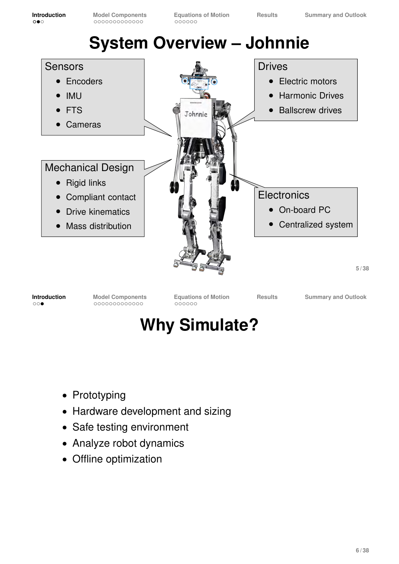

**Introduction**<br> **Introduction**<br> **Model Components**<br> **Equations** of Motion<br> **Results** Summary and Outlook<br> **COOP COOP COOP COOP COOP COOP** 

### **Why Simulate?**

- ∙ Prototyping
- ∙ Hardware development and sizing
- ∙ Safe testing environment
- ∙ Analyze robot dynamics
- ∙ Offline optimization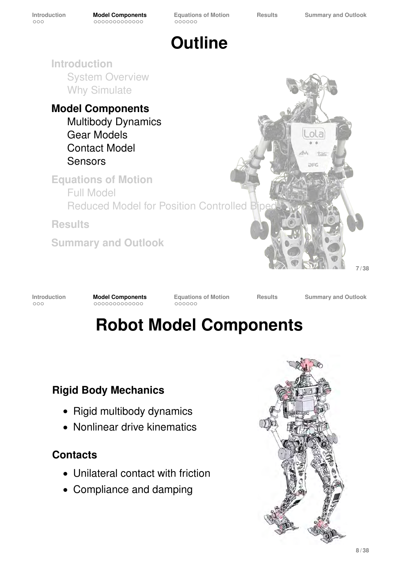$000000$ 

**Outline**

**Introduction** System Overview Why Simulate

**Model Components** Multibody Dynamics Gear Models Contact Model Sensors

**Equations of Motion** Full Model **Reduced Model for Position Controlled Biped** 

**Results**

**Summary and Outlook**



**Introduction**<br> **Introduction**<br> **Model Components**<br> **Equations** of Motion<br> **Results**<br> **Results**<br> **Summary and Outlook**<br> **EQUADED**<br> **EQUADED**<br> **EQUADED**<br> **EQUADED**<br> **EQUADED** 

# **Robot Model Components**

#### **Rigid Body Mechanics**

- ∙ Rigid multibody dynamics
- ∙ Nonlinear drive kinematics

#### **Contacts**

- ∙ Unilateral contact with friction
- ∙ Compliance and damping

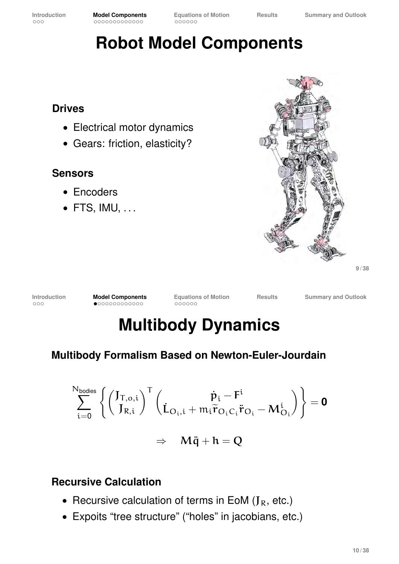### **Robot Model Components**

#### **Drives**

- ∙ Electrical motor dynamics
- ∙ Gears: friction, elasticity?

#### **Sensors**

- ∙ Encoders
- ∙ FTS, IMU, . . .



**9 / 38**

**Introduction**<br> **Introduction**<br> **INDODEL COMPONENT Results** Summary and Outlook<br> **INDODEL COMPONENT RESULTS**<br> **INDODEL COMPONENT RESULTS** 

# **Multibody Dynamics**

#### **Multibody Formalism Based on Newton-Euler-Jourdain**

$$
\sum_{i=0}^{N_{bodies}} \left\{ \begin{pmatrix} J_{T,o,i} \\ J_{R,i} \end{pmatrix}^T \begin{pmatrix} \dot{p}_i - F^i \\ \dot{L}_{O_i,i} + m_i \widetilde{r}_{O_iC_i} \ddot{r}_{O_i} - M_{O_i}^i \end{pmatrix} \right\} = \textbf{0}
$$

 $\Rightarrow$  M $\ddot{q} + h = Q$ 

#### **Recursive Calculation**

- Recursive calculation of terms in EoM ( $J<sub>R</sub>$ , etc.)
- ∙ Expoits "tree structure" ("holes" in jacobians, etc.)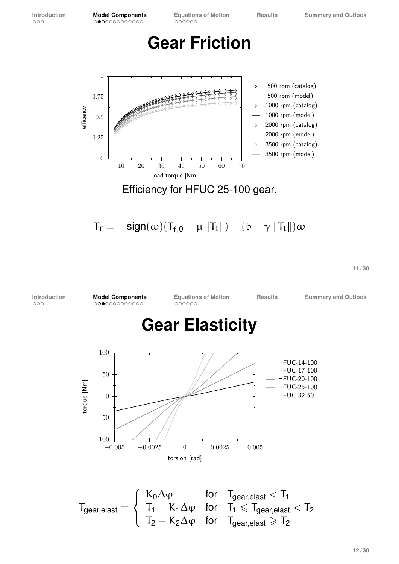$000000$ 

#### **Gear Friction**



 $T_f = -\operatorname{sign}(\omega)(T_{f,0} + \mu ||T_L||) - (b + \gamma ||T_L||)\omega$ 

**11 / 38**

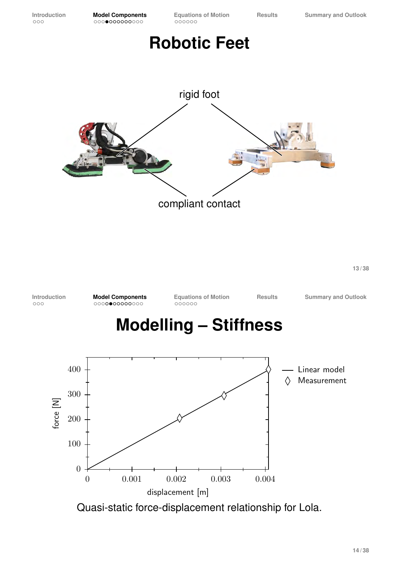### **Robotic Feet**



**13 / 38**

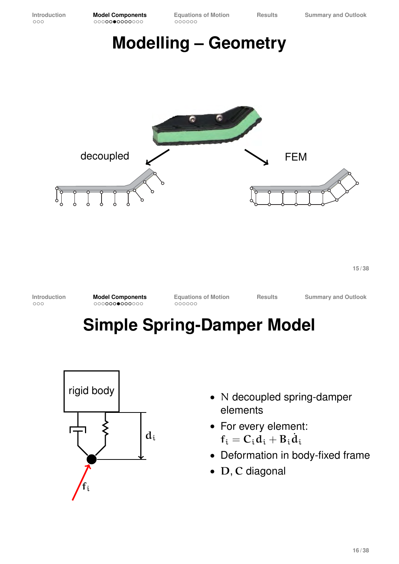**Introduction**<br> **Introduction**<br> **Introduction**<br> **Introduction**<br> **Introduction**<br> **Introduction**<br> **Interpretents**<br> **Interpretent of Motion**<br> **Interpretent of Advisor**<br> **Interpretent of Advisor**<br> **Interpretent of Advisor**<br> **I**  $000000$ 

### **Modelling – Geometry**



**15 / 38**

**Introduction**<br> **Introduction**<br> **Model Components**<br> **Equations** of Motion<br> **Results**<br> **Results**<br> **Summary and Outlook**<br> **EQUADED**<br> **EQUADED**<br> **EQUADED**<br> **EQUADED**<br> **EQUADED** 

### **Simple Spring-Damper Model**



- ∙ N decoupled spring-damper elements
- ∙ For every element:  $f_i = C_i d_i + B_i \dot{d}_i$
- ∙ Deformation in body-fixed frame
- ∙ D, C diagonal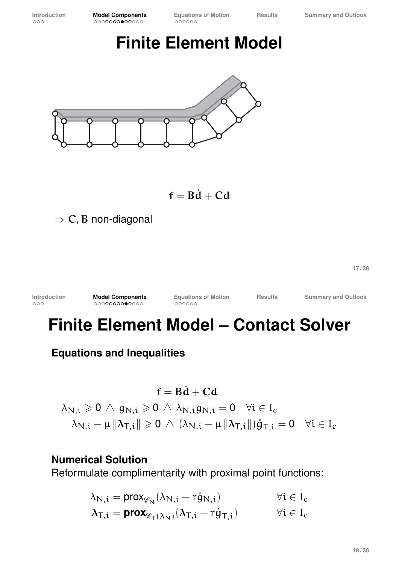### **Finite Element Model**



 $f = B\dot{d} + C d$ 

 $\Rightarrow$  C, B non-diagonal

**17 / 38**

| <b>Introduction</b> | <b>Model Components</b> | <b>Equations of Motion</b> | <b>Results</b> | <b>Summary and Outlook</b> |
|---------------------|-------------------------|----------------------------|----------------|----------------------------|
| 000                 | 00000000●0000           | 000000                     |                |                            |
|                     |                         |                            |                |                            |

### **Finite Element Model – Contact Solver**

**Equations and Inequalities**

$$
\begin{aligned} f &= B \dot{d} + C d \\ \lambda_{N,i} &\geqslant 0 \, \wedge \, g_{N,i} \geqslant 0 \, \wedge \, \lambda_{N,i} g_{N,i} = 0 \quad \forall i \in I_c \\ \lambda_{N,i} - \mu \, \Vert \lambda_{T,i} \Vert \geqslant 0 \, \wedge \, (\lambda_{N,i} - \mu \, \Vert \lambda_{T,i} \Vert) \dot{g}_{T,i} = 0 \quad \forall i \in I_c \end{aligned}
$$

#### **Numerical Solution**

Reformulate complimentarity with proximal point functions:

| $\lambda_{N,i} = \text{prox}_{\mathscr{C}_N}(\lambda_{N,i} - \text{rg}_{N,i})$                                                          | $\forall i \in I_c$ |
|-----------------------------------------------------------------------------------------------------------------------------------------|---------------------|
| $\lambda_{\text{T,i}} = \text{prox}_{\mathscr{C}_{\text{T}}(\lambda_{\text{N}})}(\lambda_{\text{T,i}} - \text{r} \dot{g}_{\text{T,i}})$ | $\forall i \in I_c$ |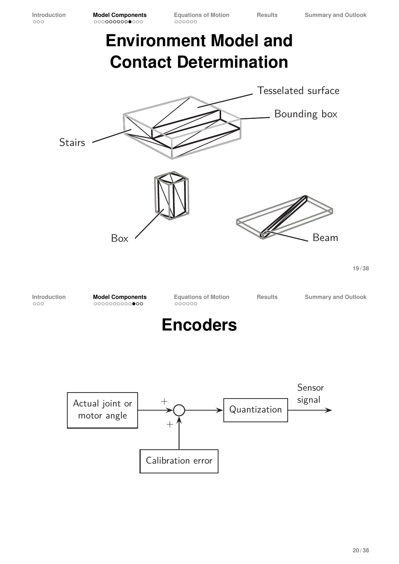### **Environment Model and Contact Determination**

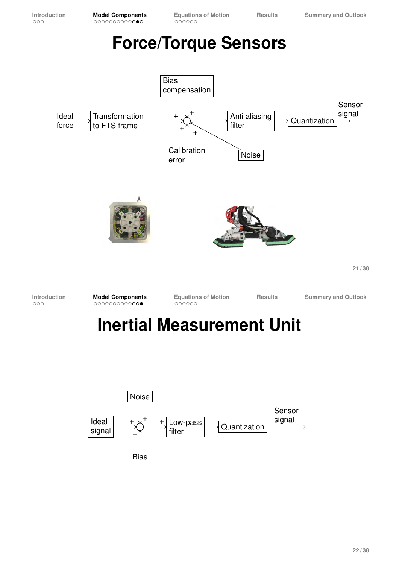### **Force/Torque Sensors**



### **Inertial Measurement Unit**

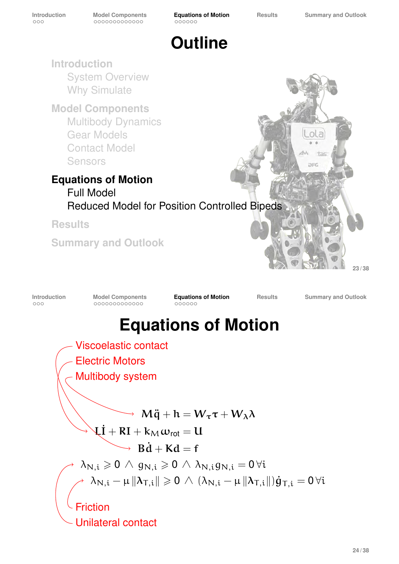Unilateral contact

 $000000$ 



**24 / 38**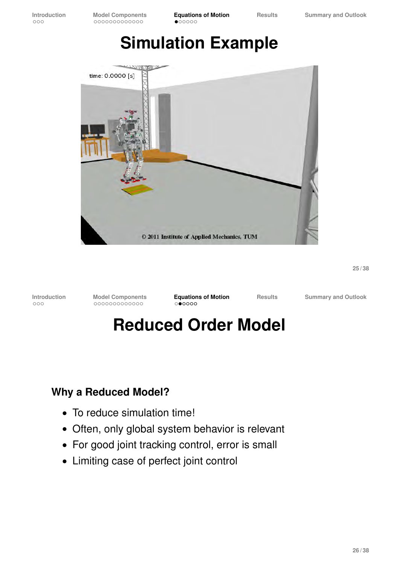### **Simulation Example**



**25 / 38**

**Introduction Model Components Equations of Motion Results Summary and Outlook**

### **Reduced Order Model**

#### **Why a Reduced Model?**

- ∙ To reduce simulation time!
- ∙ Often, only global system behavior is relevant
- ∙ For good joint tracking control, error is small
- ∙ Limiting case of perfect joint control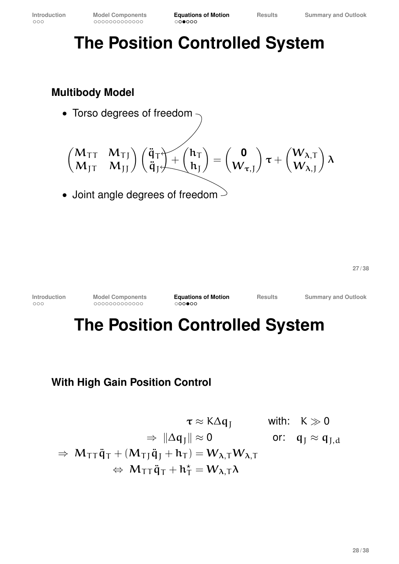## **The Position Controlled System**

#### **Multibody Model**

∙ Torso degrees of freedom

$$
\begin{pmatrix} M_{TT} & M_{TJ} \ M_{JT} & M_{JJ} \end{pmatrix} \begin{pmatrix} \ddot{q}_{T} \\ \ddot{q}_{J} \end{pmatrix} + \begin{pmatrix} h_{T} \\ h_{J} \end{pmatrix} = \begin{pmatrix} 0 \\ W_{\tau,J} \end{pmatrix} \tau + \begin{pmatrix} W_{\lambda,T} \\ W_{\lambda,J} \end{pmatrix} \lambda
$$

• Joint angle degrees of freedom  $\geq$ 

**27 / 38**

**Introduction Model Components Equations of Motion Results Summary and Outlook**

### **The Position Controlled System**

#### **With High Gain Position Control**

$$
\tau \approx K\Delta q_J \quad \text{with:} \quad K \gg 0
$$

$$
\Rightarrow \|\Delta q_J\| \approx 0 \quad \text{or:} \quad q_J \approx q_{J,d}
$$

$$
\Rightarrow M_{TT}\ddot{q}_T + (M_{TJ}\ddot{q}_J + h_T) = W_{\lambda,T}W_{\lambda,T}
$$

$$
\Rightarrow M_{TT}\ddot{q}_T + h_T^* = W_{\lambda,T}\lambda
$$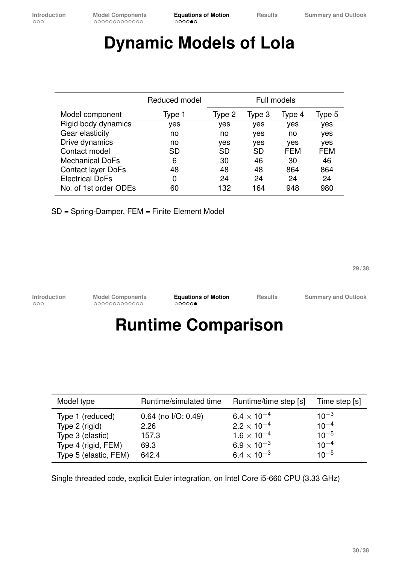### **Dynamic Models of Lola**

|                           | Reduced model | Full models |           |        |            |
|---------------------------|---------------|-------------|-----------|--------|------------|
| Model component           | Type 1        | Type 2      | Type 3    | Type 4 | Type 5     |
| Rigid body dynamics       | yes           | yes         | yes       | yes    | yes        |
| Gear elasticity           | no            | no          | yes       | no     | yes        |
| Drive dynamics            | no            | yes         | yes       | yes    | yes        |
| Contact model             | SD            | SD          | <b>SD</b> | FEM    | <b>FEM</b> |
| <b>Mechanical DoFs</b>    | 6             | 30          | 46        | 30     | 46         |
| <b>Contact layer DoFs</b> | 48            | 48          | 48        | 864    | 864        |
| <b>Electrical DoFs</b>    | 0             | 24          | 24        | 24     | 24         |
| No. of 1st order ODEs     | 60            | 132         | 164       | 948    | 980        |

SD = Spring-Damper, FEM = Finite Element Model

**29 / 38**

**Introduction Model Components Equations of Motion Results Summary and Outlook**

### **Runtime Comparison**

| Model type            | Runtime/simulated time | Runtime/time step [s]         | Time step [s] |
|-----------------------|------------------------|-------------------------------|---------------|
| Type 1 (reduced)      | $0.64$ (no I/O: 0.49)  | $6.4\times10^{-4}$            | $10^{-3}$     |
| Type 2 (rigid)        | 2.26                   | $2.2 \times 10^{-4}$          | $10^{-4}$     |
| Type 3 (elastic)      | 157.3                  | $1.6 \times 10^{-4}$          | $10^{-5}$     |
| Type 4 (rigid, FEM)   | 69.3                   | $6.9 \times 10^{-3}$          | $10^{-4}$     |
| Type 5 (elastic, FEM) | 642.4                  | 6.4 $\times$ 10 <sup>-3</sup> | $10^{-5}$     |

Single threaded code, explicit Euler integration, on Intel Core i5-660 CPU (3.33 GHz)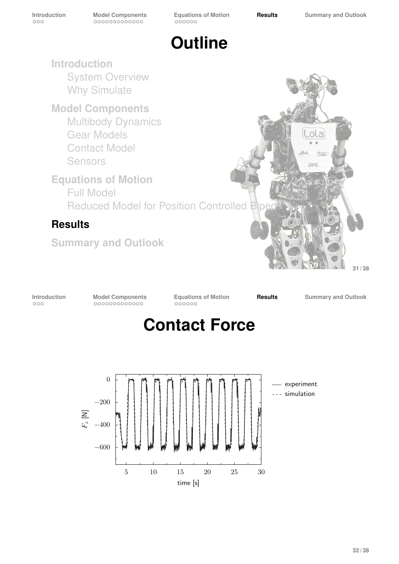

**Introduction** System Overview Why Simulate

**Model Components** Multibody Dynamics Gear Models Contact Model Sensors

**Equations of Motion** Full Model Reduced Model for Position Controlled Biped

#### **Results**

**Summary and Outlook**



**31 / 38**

**Introduction Model Components Equations of Motion Results Summary and Outlook**



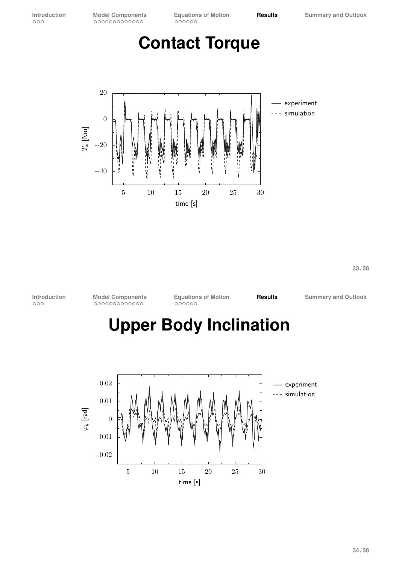**Introduction Model Components Equations of Motion Results Summary and Outlook**

### **Contact Torque**



**33 / 38**

**Introduction Model Components Equations of Motion Results Summary and Outlook**

### **Upper Body Inclination**

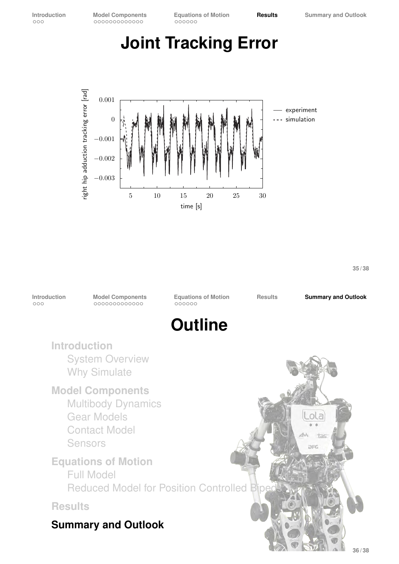### **Joint Tracking Error**



**35 / 38**

**Introduction Model Components Equations of Motion Results Summary and Outlook Outline Introduction** System Overview Why Simulate **Model Components** Multibody Dynamics Gear Models ola Contact Model tas Sensors **DEC Equations of Motion** Full Model Reduced Model for Position Controlled Biped **Results Summary and Outlook 36 / 38**